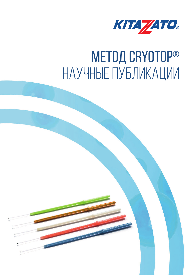

# метод CRYOTOP® НАУЧНЫЕ ПУБЛИКАЦИИ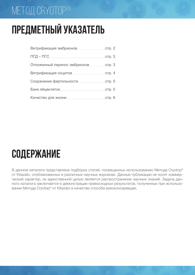#### метод CRYOTOP®

# **Предметный указатель**

| crp.3 |
|-------|
|       |
|       |
|       |
|       |
|       |

## **СОДЕРЖАНИЕ**

В данном каталоге представлена подборка статей, посвященных использованию Метода Cryotop® от Kitazato, опубликованных в различных научных журналах. Данные публикации не носят коммерческий характер, их единственной целью является распространение научных знаний. Задача данного каталога заключается в демонстрации превосходных результатов, полученных при использовании Метода Cryotop® от Kitazato в качестве способа криоконсервации.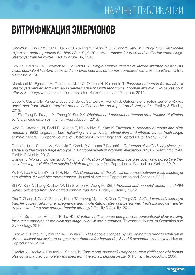#### научные публикации

### **ВИТРИФИКАЦИЯ ЭМБРИОНОВ**

Qing-Yun D, En-Yin W, Yan H, Xiao-Yi G, Yu-Jing X, Yi-Ping Y, Gui-Dong Y, Sen-Lin S, Ying-Pu S. *Blastocoele expansion degree predicts live birth after single blastocyst transfer for fresh and vitrified/warmed single blastocyst transfer cycles.* Fertility & Sterility, 2016.

Roy TK, Bradley CK, Bowman MC, McArthur SJ. *Single-embryo transfer of vitrified-warmed blastocysts yields equivalent live-birth rates and improved neonatal outcomes compared with fresh transfers.* Fertility & Sterility, 2014.

Murakami M, Egashira A, Tanaka K, Mine C, Otsubo H, Kuramoto T. *Perinatal outcomes for transfer of blastocysts vitrified and warmed in defined solutions with recombinant human albumin: 374 babies born after 898 embryo transfers.* Journal of Assisted Reproduction and Genetics, 2014.

Cobo A, Castellò D, Vallejo B, Albert C, de los Santos JM, Remohí J. *Outcome of cryotransfer of embryos developed from vitrified oocytes: double vitrification has no impact on delivery rates.* Fertility & Sterility, 2013.

Liu SY, Teng B, Fu J, Li X, Zheng Y, Sun XX. *Obstetric and neonatal outcomes after transfer of vitrified early cleavage embryos.* Human Reproduction, 2013.

Kato O, Kawasaki N, Bodri D, Kuroda T, Kawachiya S, Kato K, Takehara Y. *Neonatal outcome and birth defects in 6623 singletons born following minimal ovarian stimulation and vitrified versus fresh single embryo transfer.* European Journal of Obstetrics & Gynecology and Reproductive Biology, 2012.

Cobo A, de los Santos MJ, Castellò D, Gámiz P, Campos P, Remohí J. *Outcomes of vitrified early cleavagestage and blastocyst-stage embryos in a cryopreservation program: evaluation of 3,150 warming cycles.*  Fertility & Sterility, 2012.

Stanger J, Wong J, Conceicao J, Yovich J. *Vitrification of human embryos previously cryostored by either slow freezing or vitrification results in high pregnancy rates.* Reproductive Biomedicine Online, 2012.

Ku PY, Lee RK, Lin SY, Lin MH, Hwu YM. *Comparison of the clinical outcomes between fresh blastocyst and vitrified-thawed blastocyst transfer.* Journal of Assisted Reproduction and Genetics, 2012.

Shi W, Xue X, Zhang S, Zhao W, Liu S, Zhou H, Wang M, Shi J. *Perinatal and neonatal outcomes of 494 babies delivered from 972 vitrified embryo transfers.* Fertility & Sterility, 2012.

Zhu D, Zhang J, Cao S, Zhang J, Heng BC, Huang M, Ling X, Duan T, Tong GQ. *Vitrified-warmed blastocyst transfer cycles yield higher pregnancy and implantation rates compared with fresh blastocyst transfer cycles – time for a new embryo transfer strategy?* Fertility & Sterility, 2011.

Lin TK, Su JT, Lee FK, Lin YR, Lo HC. *Cryotop vitrification as compared to conventional slow freezing for human embryos at the cleavage stage: survival and outcomes.* Taiwanese Journal of Obstetrics and Gynecology, 2010.

Hiraoka K, Hiraoka K, Kinutani M, Kinutani K. *Blastocoele collapse by micropipetting prior to vitrification gives excellent survival and pregnancy outcomes for human day 5 and 6 expanded blastocysts.* Human Reproduction, 2004.

Hiraoka K, Hiraoka K, Kinutani M, Kinutani K. *Case report: successful pregnancy after vitrification of a human blastocyst that had completely escaped from the zona pellucida on day 6.* Human Reproduction, 2004.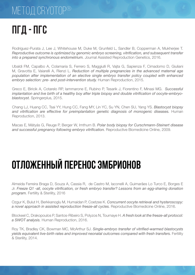# **ПГД** - **ПГС**

Rodriguez-Purata J, Lee J, Whitehouse M, Duke M, Grunfeld L, Sandler B, Copperman A, Mukherjee T. *Reproductive outcome is optimized by genomic embryo screening, vitrification, and subsequent transfer into a prepared synchronous endometrium.* Journal Assisted Reproduction Genetics, 2016.

Ubaldi FM, Capalbo A, Colamaria S, Ferrero S, Maggiulli R, Vajta G, Sapienza F, Cimadomo D, Giuliani M, Gravotta E, Vaiarelli A, Rienzi L. *Reduction of multiple pregnancies in the advanced maternal age population after implementation of an elective single embryo transfer policy coupled with enhanced embryo selection: pre- and post-intervention study.* Human Reproduction, 2015.

Greco E, Biricik A, Cotarelo RP, Iammarone E, Rubino P, Tesarik J, Fiorentino F, Minasi MG. *Successful implantation and live birth of a healthy boy after triple biopsy and double vitrification of oocyte-embryoblastocyst.* Springerplus, 2015.

Chang LJ, Huang CC, Tsai YY, Hung CC, Fang MY, Lin YC, Su YN, Chen SU, Yang YS. *Blastocyst biopsy and vitrification are effective for preimplantation genetic diagnosis of monogenic diseases.* Human Reproduction, 2013.

Macas E, Mátyás G, Reuge P, Berger W, Imthurn B. *Polar body biopsy for Curschmann-Steinert disease and successful pregnancy following embryo vitrification.* Reproductive Biomedicine Online, 2009.

# **ОТЛОЖЕННЫЙ ПЕРЕНОС ЭМБРИОНОВ**

Almeida Ferreira Braga D, Souza A, Cassia R, de Castro M, Iaconelli A, Guimarães Lo Turco E, Borges E Jr. *Freeze Q1 -all, oocyte vitrification, or fresh embryo transfer? Lessons from an egg-sharing donation program.* Fertility & Sterility, 2016

Ozgur K, Bulut H, Berkkanoglu M, Humaidan P, Coetzee K. *Concurrent oocyte retrieval and hysteroscopy: a novel approach in assisted reproduction freeze-all cycles.* Reproductive Biomedicine Online, 2016.

Blockeel C, Drakopoulos P, Santos-Ribeiro S, Polyzos N, Tournaye H. *A fresh look at the freeze-all protocol: a SWOT analysis.* Human Reproduction, 2016.

Roy TK, Bradley CK, Bowman MC, McArthur SJ. *Single-embryo transfer of vitrified-warmed blastocysts yields equivalent live-birth rates and improved neonatal outcomes compared with fresh transfers.* Fertility & Sterility, 2014.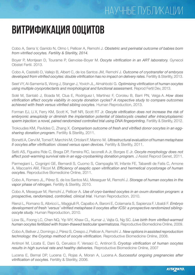#### НАУЧНЫЕ ПУБЛИКАЦИИ

### **ВИТРИФИКАЦИЯ ООЦИТОВ**

Cobo A, Serra V, Garrido N, Olmo I, Pellicer A, Remohí J. *Obstetric and perinatal outcome of babies born from vitrified oocytes. Fertility & Sterility, 2014.*

Boyer P, Montjean D, Tourame P, Gervoise-Boyer M. *Oocyte vitrification in an ART laboratory.* Gynecol Obstet Fertil. 2013.

Cobo A, Castellò D, Vallejo B, Albert C, de los Santos JM, Remohí J. *Outcome of cryotransfer of embryos developed from vitrified oocytes: double vitrification has no impact on delivery rates.* Fertility & Sterility, 2013.

Seet VY, Al-Samerria S, Wong J, Stanger J, Yovich JL, Almahbobi G. *Optimising vitrification of human oocytes using multiple cryoprotectants and morphological and functional assessment.* Reprod Fertil Dev, 2013.

Solé M, Santaló J, Boada M, Clua E, Rodríguez I, Martínez F, Coroleu B, Barri PN, Veiga A. *How does vitrification affect oocyte viability in oocyte donation cycles? A rospective study to compare outcomes achieved with fresh versus vitrified sibling oocytes.* Human Reproduction, 2013.

Forman EJ, Li X, Ferry KM, Scott K, Treff NR, Scott RT Jr. *Oocyte vitrification does not increase the risk of embryonic aneuploidy or diminish the implantation potential of blastocysts created after intracytoplasmic sperm injection: a novel, paired randomized controlled trial using DNA fingerprinting.* Fertility & Sterility, 2012.

Trokoudes KM, Pavlides C, Zhang X. *Comparison outcome of fresh and vitrified donor oocytes in an egg*sharing donation program. Fertility & Sterility, 2011.

Bonetti A, Cervi M, Tomei F, Marchini M, Ortolani F, Manno M. *Ultrastructural evaluation of human metaphase II oocytes after vitrification: closed versus open devices.* Fertility & Sterility, 2011.

Setti AS, Figueira Rde C, Braga DP, Ferreira RC, Iaconelli A Jr, Borges E Jr. *Oocyte morphology does not*  affect post-warming survival rate in an egg-cryobanking donation program. J Assist Reprod Genet, 2011.

Parmegiani L, Cognigni GE, Bernardi S, Cuomo S, Ciampaglia W, Infante FE, Tabarelli de Fatis C, Arnone A, Maccarini AM, Filicori M. *Efficiency of aseptic open vitrification and hermetical cryostorage of human oocytes.* Reproductive Biomedicine Online, 2011.

Cobo A, Romero JL, Pérez S, de los Santos MJ, Meseguer M, Remohí J. *Storage of human oocytes in the vapor phase of nitrogen.* Fertility & Sterility, 2010.

Cobo A, Meseguer M, Remohí J, Pellicer A. *Use of cryo-banked oocytes in an ovum donation program: a prospective, randomized, controlled, clinical trial.* Human Reproduction, 2010.

Rienzi L, Romano S, Albricci L, Maggiulli R, Capalbo A, Baroni E, Colamaria S, Sapienza F, Ubaldi F. *Embryo development of fresh 'versus' vitrified metaphase II oocytes after ICSI: a prospective randomized siblingoocyte study.* Human Reproduction, 2010.

Liow SL, Foong LC, Chen NQ, Yip WY, Khaw CL, Kumar J, Vajta G, Ng SC. *Live birth from vitrified-warmed human oocytes fertilized with frozen-thawed testicular spermatozoa.* Reproductive Biomedicine Online, 2009.

Cobo A, Bellver J, Domingo J, Pérez S, Crespo J, Pellicer A, Remohí J. *New options in assisted reproduction technology: the Cryotop method of oocyte vitrification.* Reproductive Biomedicine Online, 2008.

Antinori M, Licata E, Dani G, Cerusico F, Versaci C, Antinori S. *Cryotop vitrification of human oocytes results in high survival rate and healthy deliveries.* Reproductive Biomedicine Online, 2007

Lucena E, Bernal DP, Lucena C, Rojas A, Moran A, Lucena A. *Successful ongoing pregnancies after vitrification of oocytes.* Fertility & Sterility, 2006.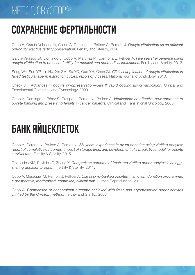### метод CRYOTOP®

### **СОХРАНЕНИЕ ФЕРТИЛЬНОСТИ**

Cobo A, García-Velasco JA, Coello A, Domingo J, Pellicer A, Remohí J. *Oocyte vitrification as an efficient option for elective fertility preservation.* Fertility and Sterility, 2016.

Garcia-Velasco JA, Domingo J, Cobo A, Martínez M, Carmona L, Pellicer A. *Five years' experience using oocyte vitrification to preserve fertility for medical and nonmedical indications.* Fertility and Sterility, 2013.

Song WY, Sun YP, Jin HX, Xin ZM, Su YC, Guo YH, Chen ZJ. *Clinical application of oocyte vitrification in failed testicular sperm extraction cycles: report of 8 cases. National journal of Andrology, 2010.* 

Check JH. *Advances in oocyte cryopreservation--part II: rapid cooling using vitrification.* Clinical and Experimental Obstetrics and Gynecology, 2009.

Cobo A, Domingo J, Pérez S, Crespo J, Remohí J, Pellicer A. *Vitrification: an effective new approach to oocyte banking and preserving fertility in cancer patients.* Clinical and Translational Oncology, 2008.

# **БАНК ЯЙЦЕКЛЕТОК**

Cobo A, Garrido N, Pellicer A, Remohí J. *Six years' experience in ovum donation using vitrified oocytes: report of cumulative outcomes, impact of storage time, and development of a predictive model for oocyte survival rate.* Fertility & Sterility, 2015.

Trokoudes KM, Pavlides C, Zhang X. *Comparison outcome of fresh and vitrified donor oocytes in an eggsharing donation program.* Fertility & Sterility, 2011.

Cobo A, Meseguer M, Remohí J, Pellicer A. *Use of cryo-banked oocytes in an ovum donation programme: a prospective, randomized, controlled, clinical trial.* Human Reproduction, 2010.

Cobo A. *Comparison of concomitant outcome achieved with fresh and cryopreserved donor oocytes vitrified by the Cryotop method.* Fertility and Sterility, 2008.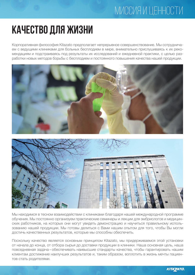### миссия и ценности

### **КАЧЕСТВО ДЛЯ ЖИЗНИ**

Корпоративная философия Kitazato предполагает непрерывное совершенствование. Мы сотрудничаем с ведущими клиниками для больных бесплодием в мире, внимательно прислушиваясь к их рекомендациям и подстраиваясь под результаты их исследований и ежедневной практики, с целью разработки новых методов борьбы с бесплодием и постоянного повышения качества нашей продукции.





Мы находимся в тесном взаимодействии с клиниками благодаря нашей международной программе обучения. Мы постоянно организуем практические семинары и лекции для эмбриологов и медицинских работников, на которых они могут увидеть демонстрацию и научиться правильному использованию нашей продукции. Мы готовы делиться с Вами нашим опытом для того, чтобы Вы могли достичь качественных результатов, которые мы способны обеспечить.

Поскольку качество является основным принципом Kitazato, мы придерживаемся этой установки от начала до конца, от отбора сырья до доставки продукции в клиники. Наша основная цель, наша повседневная задача – обеспечивать наивысшие стандарты качества, чтобы гарантировать нашим клиентам достижение наилучших результатов и, таким образом, воплотить в жизнь мечты пациентов стать родителями.